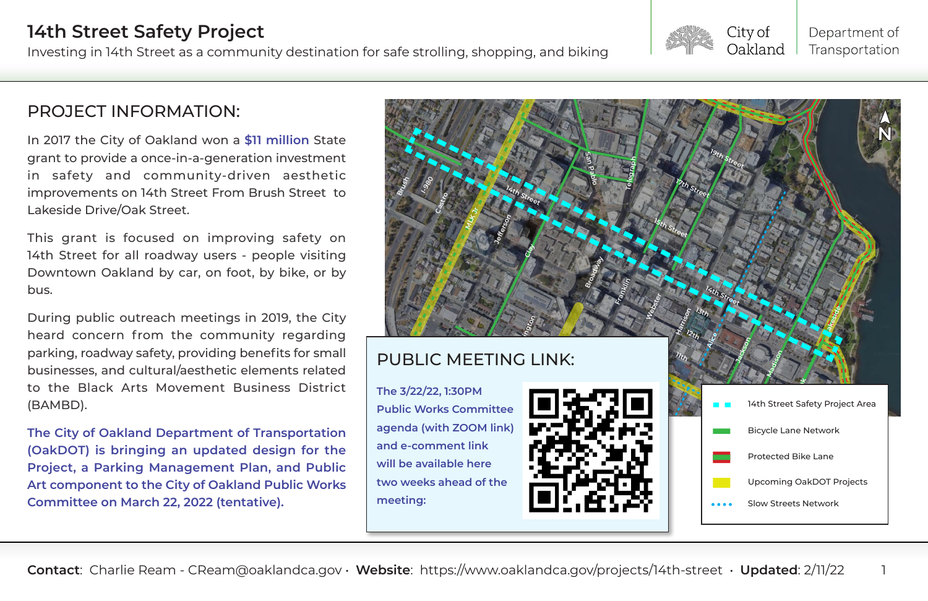# **14th Street Safety Project**

#### **Contact**: Charlie Ream - CReam@oaklandca.gov • **Website**: https://www.oaklandca.gov/projects/14th-street • **Updated**: 2/11/22 1

Investing in 14th Street as a community destination for safe strolling, shopping, and biking

## PROJECT INFORMATION:

In 2017 the City of Oakland won a **\$11 million** State grant to provide a once-in-a-generation investment in safety and community-driven aesthetic improvements on 14th Street From Brush Street to Lakeside Drive/Oak Street.

This grant is focused on improving safety on 14th Street for all roadway users - people visiting Downtown Oakland by car, on foot, by bike, or by bus.



During public outreach meetings in 2019, the City heard concern from the community regarding parking, roadway safety, providing benefits for small businesses, and cultural/aesthetic elements related to the Black Arts Movement Business District (BAMBD).

**The City of Oakland Department of Transportation (OakDOT) is bringing an updated design for the Project, a Parking Management Plan, and Public Art component to the City of Oakland Public Works Committee on March 22, 2022 (tentative).**

**The 3/22/22, 1:30PM Public Works Committee agenda (with ZOOM link) and e-comment link will be available here two weeks ahead of the meeting:**





### City of Oakland

### Department of Transportation